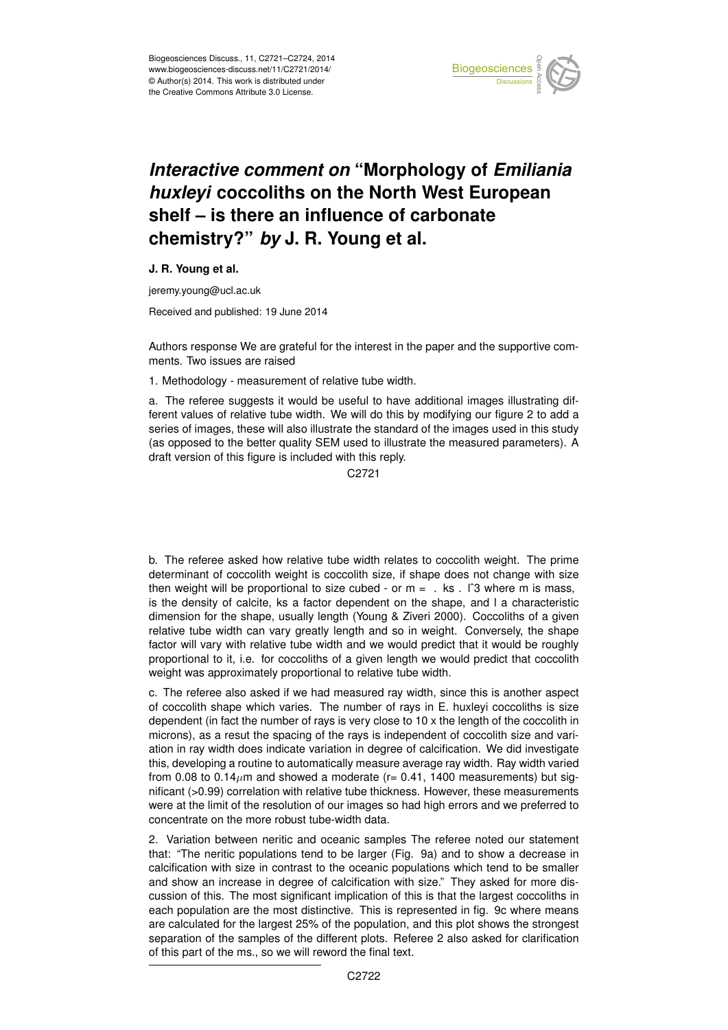

## *Interactive comment on* **"Morphology of** *Emiliania huxleyi* **coccoliths on the North West European shelf – is there an influence of carbonate chemistry?"** *by* **J. R. Young et al.**

**J. R. Young et al.**

jeremy.young@ucl.ac.uk

Received and published: 19 June 2014

Authors response We are grateful for the interest in the paper and the supportive comments. Two issues are raised

1. Methodology - measurement of relative tube width.

a. The referee suggests it would be useful to have additional images illustrating different values of relative tube width. We will do this by modifying our figure 2 to add a series of images, these will also illustrate the standard of the images used in this study (as opposed to the better quality SEM used to illustrate the measured parameters). A draft version of this figure is included with this reply.

C2721

b. The referee asked how relative tube width relates to coccolith weight. The prime determinant of coccolith weight is coccolith size, if shape does not change with size then weight will be proportional to size cubed - or  $m = 1$ . ks . I<sup>o</sup>3 where m is mass, is the density of calcite, ks a factor dependent on the shape, and l a characteristic dimension for the shape, usually length (Young & Ziveri 2000). Coccoliths of a given relative tube width can vary greatly length and so in weight. Conversely, the shape factor will vary with relative tube width and we would predict that it would be roughly proportional to it, i.e. for coccoliths of a given length we would predict that coccolith weight was approximately proportional to relative tube width.

c. The referee also asked if we had measured ray width, since this is another aspect of coccolith shape which varies. The number of rays in E. huxleyi coccoliths is size dependent (in fact the number of rays is very close to 10 x the length of the coccolith in microns), as a resut the spacing of the rays is independent of coccolith size and variation in ray width does indicate variation in degree of calcification. We did investigate this, developing a routine to automatically measure average ray width. Ray width varied from 0.08 to  $0.14\mu$ m and showed a moderate (r= 0.41, 1400 measurements) but significant (>0.99) correlation with relative tube thickness. However, these measurements were at the limit of the resolution of our images so had high errors and we preferred to concentrate on the more robust tube-width data.

2. Variation between neritic and oceanic samples The referee noted our statement that: "The neritic populations tend to be larger (Fig. 9a) and to show a decrease in calcification with size in contrast to the oceanic populations which tend to be smaller and show an increase in degree of calcification with size." They asked for more discussion of this. The most significant implication of this is that the largest coccoliths in each population are the most distinctive. This is represented in fig. 9c where means are calculated for the largest 25% of the population, and this plot shows the strongest separation of the samples of the different plots. Referee 2 also asked for clarification of this part of the ms., so we will reword the final text.